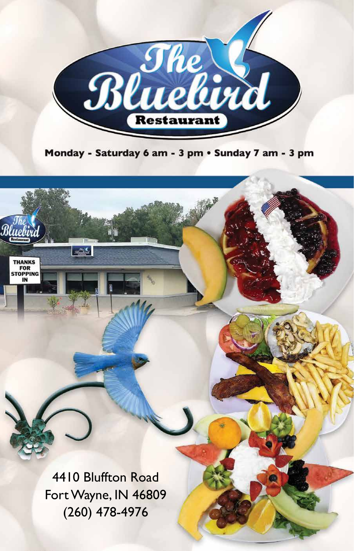

Monday - Saturday 6 am - 3 pm · Sunday 7 am - 3 pm

4410 Bluffton Road Fort Wayne, IN 46809 (260) 478-4976

 $m^{\pi\nu}_{\mu\nu}$ 

 $\overline{\mathcal{R}}$ 

THANKS<br>FOR<br>STOPPING

IN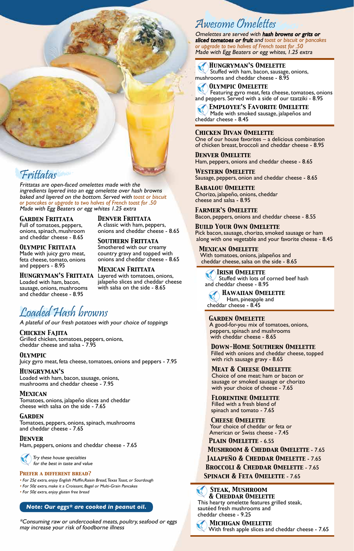

Frittatas Frittatas are open-faced omelettes made with the ingredients layered into an egg omelette over hash browns baked and layered on the bottom. Served with *toast or biscuit or pancakes or upgrade to two halves of French toast for .50* Made with Egg Beaters or egg whites 1.25 extra

*Garden Frittata* Full of tomatoes, peppers, onions, spinach, mushroom and cheddar cheese - 8.65

*Olympic Frittata* Made with juicy gyro meat, feta cheese, tomato, onions and peppers - 8.95

*Hungryman's Frittata* Loaded with ham, bacon, sausage, onions, mushrooms and cheddar cheese - 8.95

*Mexican Frittata* Layered with tomatoes, onions, jalapeño slices and cheddar cheese with salsa on the side - 8.65

*Denver Frittata* A classic with ham, peppers, onions and cheddar cheese - 8.65

*Southern Frittata* Smothered with our creamy country gravy and topped with onions and cheddar cheese - 8.65

Loaded Hash browns A plateful of our fresh potatoes with your choice of toppings

*Chicken Fajita* Grilled chicken, tomatoes, peppers, onions, cheddar cheese and salsa - 7.95

*Olympic* Juicy gyro meat, feta cheese, tomatoes, onions and peppers - 7.95

*Hungryman's* Loaded with ham, bacon, sausage, onions, mushrooms and cheddar cheese - 7.95

*Mexican* Tomatoes, onions, jalapeño slices and cheddar cheese with salsa on the side - 7.65

#### *Garden*

Tomatoes, peppers, onions, spinach, mushrooms and cheddar cheese - 7.65

*Denver*

Ham, peppers, onions and cheddar cheese - 7.65

 Try these house specialties for the best in taste and value

#### *Prefer a different bread?*

• For 25¢ extra, enjoy English Muffin,Raisin Bread, Texas Toast, or Sourdough

• For 50¢ extra, make it a Croissant, Bagel or Multi-Grain Pancakes

• For 50¢ extra, enjoy gluten free bread

#### *Note: Our eggs\* are cooked in peanut oil.*

\*Consuming raw or undercooked meats, poultry, seafood or eggs may increase your risk of foodborne illness

Awesome Omelettes Omelettes are served with hash browns or grits or sliced tomatoes or fruit and *toast or biscuit or pancakes or upgrade to two halves of French toast for .50* Made with Egg Beaters or egg whites, 1.25 extra

#### *Hungryman's Omelette*

 Stuffed with ham, bacon, sausage, onions, mushrooms and cheddar cheese - 8.95

 *Olympic Omelette* Featuring gyro meat, feta cheese, tomatoes, onions and peppers. Served with a side of our tzatziki - 8.95

 *Employee's Favorite Omelette* Made with smoked sausage, jalapeños and cheddar cheese - 8.45

#### *Chicken Divan Omelette*

One of our house favorites – a delicious combination of chicken breast, broccoli and cheddar cheese - 8.95

*Denver Omelette* Ham, peppers, onions and cheddar cheese - 8.65

*Western Omelette* Sausage, peppers, onion and cheddar cheese - 8.65

*Babalou Omelette* Chorizo, jalapeño, onions, cheddar cheese and salsa - 8.95

*Farmer's Omelette* Bacon, peppers, onions and cheddar cheese - 8.55

*Build Your Own Omelette* Pick bacon, sausage, chorizo, smoked sausage or ham along with one vegetable and your favorite cheese - 8.45

*Mexican Omelette* With tomatoes, onions, jalapeños and cheddar cheese, salsa on the side - 8.65

 *Irish Omelette* Stuffed with lots of corned beef hash and cheddar cheese - 8.95

 *Hawaiian Omelette* Ham, pineapple and cheddar cheese - 8.45

*Garden Omelette* A good-for-you mix of tomatoes, onions, peppers, spinach and mushrooms with cheddar cheese - 8.65

*Down-Home Southern Omelette* Filled with onions and cheddar cheese, topped with rich sausage gravy - 8.65

*Meat & Cheese Omelette* Choice of one meat: ham or bacon or sausage or smoked sausage or chorizo with your choice of cheese - 7.65

*Florentine Omelette* Filled with a fresh blend of spinach and tomato - 7.65

*Cheese Omelette* Your choice of cheddar or feta or American or Swiss cheese - 7.45

*Plain Omelette* - 6.55 *Mushroom & Cheddar Omelette* - 7.65

- *Jalapeño & Cheddar Omelette* 7.65
- *Broccoli & Cheddar Omelette* 7.65
- *Spinach & Feta Omelette* 7.65

 *Steak, Mushroom & Cheddar Omelette* This hearty omelette features grilled steak, sautéed fresh mushrooms and cheddar cheese - 9.25

 *Michigan Omelette* With fresh apple slices and cheddar cheese - 7.65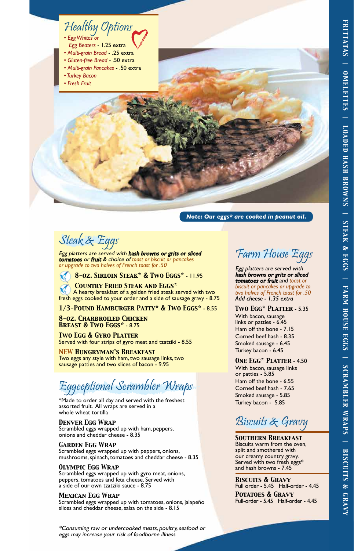## Healthy Options *• Egg Whites or*

- *Egg Beaters* 1.25 extra
- *Multi-grain Bread* .25 extra
- *Gluten-free Bread* .50 extra
- *Multi-grain Pancakes* .50 extra
- *Turkey Bacon*
- *Fresh Fruit*

*Note: Our eggs\* are cooked in peanut oil.*

Steak Steak and Steak and Steak and Steak and Steak and Steak and Steak and Steak and Steak and Steak and Steak and Steak and Steak and Steak and Steak and Steak and Steak and Steak and Steak and Steak and Steak and Steak tomatoes or fruit & choice of *toast or biscuit or pancakes or upgrade to two halves of French toast for .50*

 *8-oz. Sirloin Steak\* & Two Eggs\** - 11.95

 *Country Fried Steak and Eggs\** A hearty breakfast of a golden fried steak served with two fresh eggs cooked to your order and a side of sausage gravy - 8.75

## *1/3-Pound Hamburger Patty\* & Two Eggs\** - 8.55

*8-oz. Charbroiled Chicken Breast & Two Eggs\** - 8.75

*Two Egg & Gyro Platter* Served with four strips of gyro meat and tzatziki - 8.55

*NEW Hungryman's Breakfast* Two eggs any style with ham, two sausage links, two sausage patties and two slices of bacon - 9.95

Eggceptional Scrambler Wraps

\*Made to order all day and served with the freshest assorted fruit. All wraps are served in a whole wheat tortilla

## *Denver Egg Wrap*

Scrambled eggs wrapped up with ham, peppers, onions and cheddar cheese - 8.35

## *Garden Egg Wrap*

Scrambled eggs wrapped up with peppers, onions, mushrooms, spinach, tomatoes and cheddar cheese - 8.35

## *Olympic Egg Wrap*

Scrambled eggs wrapped up with gyro meat, onions, peppers, tomatoes and feta cheese. Served with a side of our own tzatziki sauce - 8.75

## *Mexican Egg Wrap*

Scrambled eggs wrapped up with tomatoes, onions, jalapeño slices and cheddar cheese, salsa on the side - 8.15

\*Consuming raw or undercooked meats, poultry, seafood or eggs may increase your risk of foodborne illness

# Farm House Eggs

Egg platters are served with hash browns or grits or sliced tomatoes or fruit and *toast or biscuit or pancakes or upgrade to two halves of French toast for .50 Add cheese - 1.35 extra*

*Two Egg\* Platter* - 5.35 With bacon, sausage links or patties - 6.45 Ham off the bone - 7.15 Corned beef hash - 8.35 Smoked sausage - 6.45 Turkey bacon - 6.45

*One Egg\* Platter* - 4.50 With bacon, sausage links or patties - 5.85 Ham off the bone - 6.55 Corned beef hash - 7.65 Smoked sausage - 5.85 Turkey bacon - 5.85

# Biscuits & Gravy

*Southern Breakfast* Biscuits warm from the oven, split and smothered with our creamy country gravy. Served with two fresh eggs\* and hash browns - 7.45

*Biscuits & Gravy* Full order - 5.45 Half-order - 4.45 *Potatoes & Gravy* Full-order - 5.45 Half-order - 4.45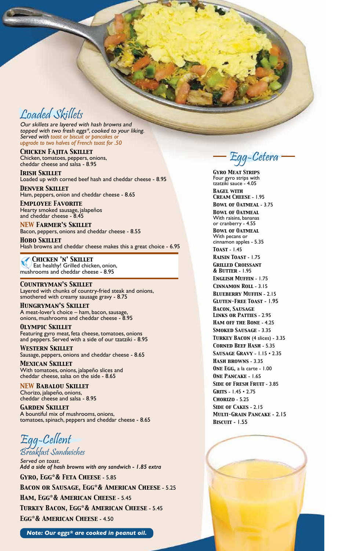Loaded Skillets Our skillets are layered with hash browns and topped with two fresh eggs\*, cooked to your liking. Served with *toast or biscuit or pancakes or upgrade to two halves of French toast for .50*

*Chicken Fajita Skillet* Chicken, tomatoes, peppers, onions, cheddar cheese and salsa - 8.95

*Irish Skillet* Loaded up with corned beef hash and cheddar cheese - 8.95

*Denver Skillet* Ham, peppers, onion and cheddar cheese - 8.65

*Employee Favorite* Hearty smoked sausage, jalapeños and cheddar cheese - 8.45

*NEW Farmer's Skillet* Bacon, peppers, onions and cheddar cheese - 8.55

*Hobo Skillet* Hash browns and cheddar cheese makes this a great choice - 6.95

 *Chicken 'n' Skillet* Eat healthy! Grilled chicken, onion, mushrooms and cheddar cheese - 8.95

*Countryman's Skillet* Layered with chunks of country-fried steak and onions, smothered with creamy sausage gravy - 8.75

*Hungryman's Skillet* A meat-lover's choice – ham, bacon, sausage, onions, mushrooms and cheddar cheese - 8.95

*Olympic Skillet* Featuring gyro meat, feta cheese, tomatoes, onions and peppers. Served with a side of our tzatziki - 8.95

*Western Skillet* Sausage, peppers, onions and cheddar cheese - 8.65

*Mexican Skillet* With tomatoes, onions, jalapeño slices and cheddar cheese, salsa on the side - 8.65

*NEW Babalou Skillet* Chorizo, jalapeño, onions, cheddar cheese and salsa - 8.95

*Garden Skillet* A bountiful mix of mushrooms, onions, tomatoes, spinach, peppers and cheddar cheese - 8.65

Egg<br>Breakfast Sandw

Breakfast Sammonenes<br>Served on toast. Served on toast. *Add a side of hash browns with any sandwich - 1.85 extra Gyro, Egg\*& Feta Cheese* - 5.85

*Bacon or Sausage, Egg\*& American Cheese* - 5.25 *Ham, Egg\*& American Cheese* - 5.45 *Turkey Bacon, Egg\*& American Cheese* - 5.45 *Egg\*& American Cheese* - 4.50

*Note: Our eggs\* are cooked in peanut oil.*

Egg-Cetera

*Gyro Meat Strips* Four gyro strips with tzatziki sauce - 4.05 *Bagel with Cream Cheese* - 1.95 *Bowl of Oatmeal* - 3.75 *Bowl of Oatmeal* With raisins, bananas or cranberry - 4.55 *Bowl of Oatmeal* With pecans or cinnamon apples - 5.35 *Toast* - 1.45 *Raisin Toast* - 1.75 *Grilled Croissant & Butter* - 1.95 *English Muffin* - 1.75 *Cinnamon Roll* - 3.15 *Blueberry Muffin* - 2.15 *Gluten-Free Toast* - 1.95 *Bacon, Sausage Links or Patties* - 2.95 *Ham off the Bone* - 4.25 *Smoked Sausage* - 3.35 *Turkey Bacon* (4 slices) - 3.35 *Corned Beef Hash* - 5.35 *Sausage Gravy* - 1.15 • 2.35 *Hash browns* - 3.35 *One Egg,* a la carte - 1.00 *One Pancake* - 1.65 *Side of Fresh Fruit* - 3.85 *Grits* - 1.45 • 2.75 *Chorizo* - 5.25 *Side of Cakes* - 2.15 *Multi-Grain Pancake* - 2.15 *Biscuit* - 1.55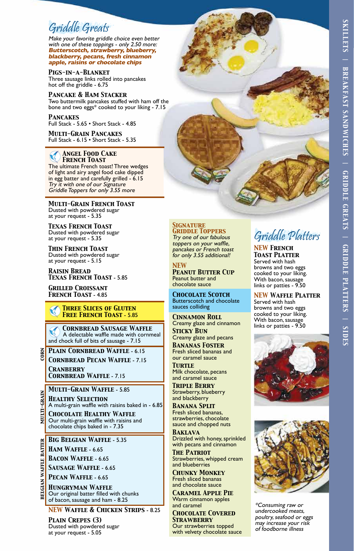# *SKILLETS | BREAKFAST SANDWICHES | GRIDDLE GREATS | GRIDDLE PLATTERS | SIDES* **SKILLETS** BREAKFAST SANDWICHES | **GRIDDLE GREATS | GRIDDLE PLATTERS | SIDES**

Syr routed Syr Cores<br>Make your favorite griddle choice even better with one of these toppings - only 2.50 more: **Butterscotch, strawberry, blueberry, blackberry, pecans, fresh cinnamon apple, raisins or chocolate chips**

#### *Pigs-in-a-Blanket*

Three sausage links rolled into pancakes hot off the griddle - 6.75

#### *Pancake & Ham Stacker*

Two buttermilk pancakes stuffed with ham off the bone and two eggs\* cooked to your liking - 7.15

#### *Pancakes*

Full Stack - 5.65 • Short Stack - 4.85

*Multi-Grain Pancakes* Full Stack - 6.15 • Short Stack - 5.35

#### *Angel Food Cake French Toast*

The ultimate French toast! Three wedges of light and airy angel food cake dipped in egg batter and carefully grilled - 6.15 Try it with one of our Signature Griddle Toppers for only 3.55 more

*Multi-Grain French Toast* Dusted with powdered sugar at your request - 5.35

*Texas French Toast* Dusted with powdered sugar at your request - 5.35

*Thin French Toast* Dusted with powdered sugar at your request - 5.15

*Raisin Bread Texas French Toast* - 5.85

*Grilled Croissant French Toast* - 4.85

#### *Three Slices of Gluten Free French Toast* - 5.85

 *Cornbread Sausage Waffle* A delectable waffle made with cornmeal and chock full of bits of sausage - 7.15

*Plain Cornbread Waffle* - 6.15 *Cornbread Pecan Waffle* - 7.15 *Cranberry* 

*Cornbread Waffle* - 7.15

## *Multi-Grain Waffle* - 5.85 *Healthy Selection*

A multi-grain waffle with raisins baked in - 6.85

*Chocolate Healthy Waffle* Our multi-grain waffle with raisins and chocolate chips baked in - 7.35

*Big Belgian Waffle* - 5.35

*Ham Waffle* - 6.65

*Bacon Waffle* - 6.65

*Sausage Waffle* - 6.65

*Pecan Waffle* - 6.65

*Hungryman Waffle* Our original batter filled with chunks of bacon, sausage and ham - 8.25

*NEW Waffle & Chicken Strips* - 8.25

*Plain Crepes (3)* Dusted with powdered sugar at your request - 5.05



Try one of our fabulous toppers on your waffle, pancakes or French toast for only 3.55 additional!

*NEW Peanut Butter Cup* Peanut butter and chocolate sauce

*Chocolate Scotch* Butterscotch and chocolate sauces colliding

*Cinnamon Roll* Creamy glaze and cinnamon *Sticky Bun* Creamy glaze and pecans

*Bananas Foster* Fresh sliced bananas and our caramel sauce

*Turtle* Milk chocolate, pecans and caramel sauce

*Triple Berry* Strawberry, blueberry and blackberry

*Banana Split* Fresh sliced bananas, strawberries, chocolate sauce and chopped nuts

*Baklava* Drizzled with honey, sprinkled with pecans and cinnamon

*The Patriot* Strawberries, whipped cream and blueberries

*Chunky Monkey* Fresh sliced bananas and chocolate sauce

*Caramel Apple Pie* Warm cinnamon apples and caramel

*Chocolate Covered Strawberry* Our strawberries topped with velvety chocolate sauce

# Griddle Platters *NEW French*

*Toast Platter* Served with hash browns and two eggs cooked to your liking. With bacon, sausage links or patties - 9.50

*NEW Waffle Platter* Served with hash browns and two eggs cooked to your liking. With bacon, sausage links or patties - 9.50





\*Consuming raw or undercooked meats, poultry, seafood or eggs may increase your risk of foodborne illness

**GIAN** BEL

**CORN**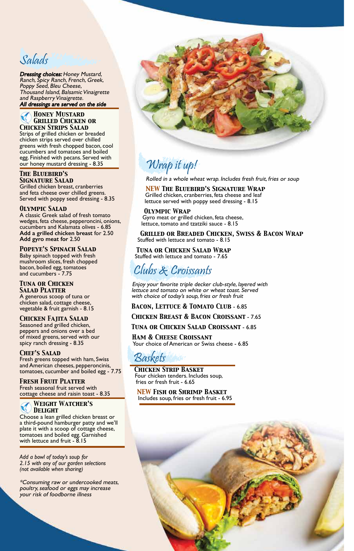Sandrid<br>**Dressing choices:** Honey Mustard, Ranch, Spicy Ranch, French, Greek, Poppy Seed, Bleu Cheese, Thousand Island, Balsamic Vinaigrette and Raspberry Vinaigrette. All dressings are served on the side

#### *Honey Mustard Grilled Chicken or Chicken Strips Salad*

Strips of grilled chicken or breaded chicken strips served over chilled greens with fresh chopped bacon, cool cucumbers and tomatoes and boiled egg. Finished with pecans. Served with our honey mustard dressing - 8.35

#### *The Bluebird's Signature Salad*

Grilled chicken breast, cranberries and feta cheese over chilled greens. Served with poppy seed dressing - 8.35

#### *Olympic Salad*

A classic Greek salad of fresh tomato wedges, feta cheese, pepperoncini, onions, cucumbers and Kalamata olives - 6.85 **Add a grilled chicken breast** for 2.50 **Add gyro meat for** 2.50

#### *Popeye's Spinach Salad*

Baby spinach topped with fresh mushroom slices, fresh chopped bacon, boiled egg, tomatoes and cucumbers - 7.75

#### *Tuna or Chicken Salad Platter*

A generous scoop of tuna or chicken salad, cottage cheese, vegetable & fruit garnish - 8.15

## *Chicken Fajita Salad*

Seasoned and grilled chicken, peppers and onions over a bed of mixed greens, served with our spicy ranch dressing - 8.35

#### *Chef's Salad*

Fresh greens topped with ham, Swiss and American cheeses, pepperoncinis, tomatoes, cucumber and boiled egg - 7.75

#### *Fresh Fruit Platter* Fresh seasonal fruit served with cottage cheese and raisin toast - 8.35

#### *Weight Watcher's Delight*

Choose a lean grilled chicken breast or a third-pound hamburger patty and we'll plate it with a scoop of cottage cheese, tomatoes and boiled egg. Garnished with lettuce and fruit - 8.15

*Add a bowl of today's soup for 2.15 with any of our garden selections (not available when sharing)*

\*Consuming raw or undercooked meats, poultry, seafood or eggs may increase your risk of foodborne illness



# Wrap it up!

Rolled in a whole wheat wrap. Includes fresh fruit, fries or soup

*NEW The Bluebird's Signature Wrap* Grilled chicken, cranberries, feta cheese and leaf lettuce served with poppy seed dressing - 8.15

#### *Olympic Wrap*

Gyro meat or grilled chicken, feta cheese, lettuce, tomato and tzatziki sauce - 8.15

*Grilled or Breaded Chicken, Swiss & Bacon Wrap* Stuffed with lettuce and tomato - 8.15

*Tuna or Chicken Salad Wrap* Stuffed with lettuce and tomato - 7.65

Clubs & Croissants Enjoy your favorite triple decker club-style, layered with lettuce and tomato on white or wheat toast. Served with choice of today's soup, fries or fresh fruit

#### *Bacon, Lettuce & Tomato Club* - 6.85

#### *Chicken Breast & Bacon Croissant* - 7.65

*Tuna or Chicken Salad Croissant* - 6.85

*Ham & Cheese Croissant* Your choice of American or Swiss cheese - 6.85

Baskets *Chicken Strip Basket* Four chicken tenders. Includes soup, fries or fresh fruit - 6.65

*NEW Fish or Shrimp Basket* Includes soup, fries or fresh fruit - 6.95

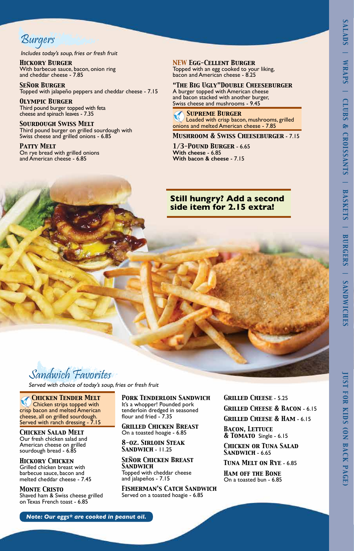*JUST FOR KIDS (ON BACK PAGE)*

**IUST FOR KIDS (ON BACK PAGE)** 

Burgers

Includes today's soup, fries or fresh fruit

*Hickory Burger* With barbecue sauce, bacon, onion ring and cheddar cheese - 7.85

*Señor Burger* Topped with jalapeño peppers and cheddar cheese - 7.15

*Olympic Burger* Third pound burger topped with feta cheese and spinach leaves - 7.35

*Sourdough Swiss Melt* Third pound burger on grilled sourdough with Swiss cheese and grilled onions - 6.85

*Patty Melt* On rye bread with grilled onions and American cheese - 6.85

#### *NEW Egg-Cellent Burger*

Topped with an egg cooked to your liking, bacon and American cheese - 8.25

*"The Big Ugly"Double Cheeseburger* A burger topped with American cheese

and bacon stacked with another burger, Swiss cheese and mushrooms - 9.45

#### *Supreme Burger*

 Loaded with crisp bacon, mushrooms, grilled onions and melted American cheese - 7.85

*Mushroom & Swiss Cheeseburger* - 7.15

*1/3-Pound Burger* - 6.65 **With cheese** - 6.85 **With bacon & cheese** - 7.15

## **Still hungry? Add a second side item for 2.15 extra!**



Suminivence Favoritus

 *Chicken Tender Melt* Chicken strips topped with crisp bacon and melted American cheese, all on grilled sourdough. Served with ranch dressing - 7.15

*Chicken Salad Melt* Our fresh chicken salad and American cheese on grilled sourdough bread - 6.85

*Hickory Chicken* Grilled chicken breast with barbecue sauce, bacon and melted cheddar cheese - 7.45

*Monte Cristo* Shaved ham & Swiss cheese grilled on Texas French toast - 6.85

*Pork Tenderloin Sandwich* It's a whopper! Pounded pork tenderloin dredged in seasoned flour and fried - 7.35

*Grilled Chicken Breast* On a toasted hoagie - 6.85

*8-oz. Sirloin Steak Sandwich* - 11.25

*Señor Chicken Breast Sandwich* Topped with cheddar cheese and jalapeños - 7.15

*Fisherman's Catch Sandwich* Served on a toasted hoagie - 6.85

*Grilled Cheese* - 5.25 *Grilled Cheese & Bacon* - 6.15 *Grilled Cheese & Ham* - 6.15

*Bacon, Lettuce & Tomato* Single - 6.15

*Chicken or Tuna Salad Sandwich* - 6.65

*Tuna Melt on Rye* - 6.85

*Ham off the Bone* On a toasted bun - 6.85